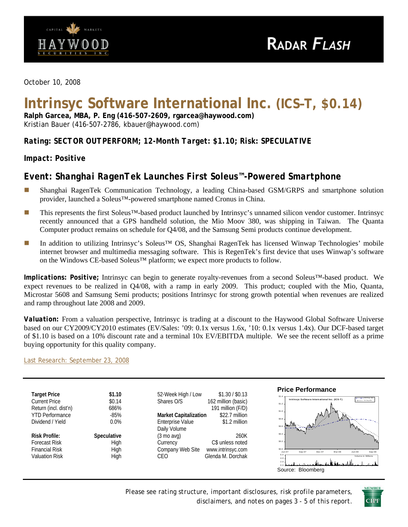

*October 10, 2008* 

# **Intrinsyc Software International Inc. (ICS–T, \$0.14)**

**Ralph Garcea, MBA, P. Eng (416-507-2609, rgarcea@haywood.com)**  Kristian Bauer (416-507-2786, kbauer@haywood.com)

*Rating: SECTOR OUTPERFORM; 12-Month Target: \$1.10; Risk: SPECULATIVE* 

## *Impact: Positive*

# *Event: Shanghai RagenTek Launches First Soleus™-Powered Smartphone*

- Shanghai RagenTek Communication Technology, a leading China-based GSM/GRPS and smartphone solution provider, launched a Soleus™-powered smartphone named Cronus in China.
- This represents the first Soleus™-based product launched by Intrinsyc's unnamed silicon vendor customer. Intrinsyc recently announced that a GPS handheld solution, the Mio Moov 380, was shipping in Taiwan. The Quanta Computer product remains on schedule for Q4/08, and the Samsung Semi products continue development.
- In addition to utilizing Intrinsyc's Soleus™ OS, Shanghai RagenTek has licensed Winwap Technologies' mobile internet browser and multimedia messaging software. This is RegenTek's first device that uses Winwap's software on the Windows CE-based Soleus™ platform; we expect more products to follow.

*Implications: Positive;* Intrinsyc can begin to generate royalty-revenues from a second Soleus™-based product. We expect revenues to be realized in Q4/08, with a ramp in early 2009. This product; coupled with the Mio, Quanta, Microstar 5608 and Samsung Semi products; positions Intrinsyc for strong growth potential when revenues are realized and ramp throughout late 2008 and 2009.

*Valuation:* From a valuation perspective, Intrinsyc is trading at a discount to the Haywood Global Software Universe based on our CY2009/CY2010 estimates (EV/Sales: '09: 0.1x versus 1.6x, '10: 0.1x versus 1.4x). Our DCF-based target of \$1.10 is based on a 10% discount rate and a terminal 10x EV/EBITDA multiple. We see the recent selloff as a prime buying opportunity for this quality company.

[Last Research: September 23, 2008](http://www.haywood.com/pdffiles/ICSSept232008.pdf)



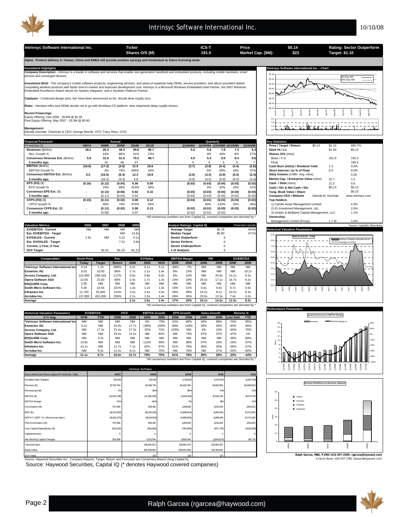

**Intrinsyc Software International Inc. Ticker Ticker ICS-T Price S0.14 Rating: Sector Outperform**<br>
Shares O/S (M) 191.0 Market Cap. (\$M): <u>\$23</u> Target: \$1.10 **\$0.14 \$23 Shares O/S (M) Market Cap. (\$M): 191.0 Target: \$1.10 Alpha: Product delivery in Taiwan, China and EMEA will provide positive synergy and momentum to future licensing deals.**  Investment Highlights<br>Company Description - Intrinsyc is a leader in software and services that enable next-generation handheld and embedded products, including mobile handsets, smart state of the final inc. - Chart<br>Compan \$1.40 50 Day MA \$1.20 200 Day MA **nt Brief** - The company's mobile software products, engineering services, and years of expertise help OEMs, service providers, and silicon providers deliver \$1.0 compelling wireless products with faster time-to-market and improved development cost. Intrinsyc is a Microsoft Windows Embedded Gold Partner, the 2007 Windows<br>Embedded Excellence Award winner for System Integrator, and a لدن \$0.80 \$0.60 **Catalysts** - Continued design wins, two have been announced so far, should drive royalty revs. \$0.40 **Risks** - Handset mftrs and OEMs decide not to go with Windows CE platform; slow shipments delay royalty stream. \$0.20  $\sin 0$ Mar-08 Apr-08 Jun-08 Jul-08 Aug-08 Oct-07 Nov-07 Dec-07 Jan-08 Feb-08 May-08 Sep-08 **Recent Financings**: Equity Offering Feb 2008 - 28.6M @ \$1.05 Past Equity Offering May 2007 - 33.3M @ \$0.60 6.0  $- - = - - -$ 4.0 باتلت  $\sim$   $$ the at a 2.0 **Management:** Glenda Dorchak, Chairman & CEO; George Reznik, CFO; Tracy Rees, COO 0.0 **Financial Forecasts Key Statistics Annual Quarterly** FY-end Dec-31 **2007A 2008E 2009E 2010E 2011E Q1/2008A Q2/2008A Q3/2008E Q4/2008E Q1/2009E Price / Target / Return** \$0.14 \$1.10 685.7% **Revenues** (\$mlns) **18.2 26.3 49.4 69.8 85.7 5.6 5.6 7.8 7.3 9.3 52wk Hi / Lo** \$1.30 \$0.13 **Conservence and Conservence 2008 12.44% 88% 41% 23% 12.49 12.49 12.49 12.49 12.49 12.49 12.49 12.49 12.49 12.49 1<br>
<b>Conservence Est.** (\$mlns) 0.0 31.6 51.6 70.2 88.7 4.9 5.4 8.0 8.4 9.6 Basic/ F.D. 161.9 191.0 Rev. Growth % 44% 88% 41% 23% 0% 40% -6% 27% **Shares O/S** (mlns) EBITDA **(16.6) (17.3) 12.48 57 - 18.6)**<br>1990 - EBITDA (17.3) (17.3) (3.4) (3.7) (3.9) (3.4) (3.4) (3.4) (3.4) (3.4) (3.4) (3.4) (2.8) (2.8) Cash Burn (mths) / Dividend Yield<br>EBITDA Growth % - 1.4% 79% 456% 44% (3.7) (3.9% **3 months ago.** 24 - 24 - 48 57 - 1 - 5 - 5 5 6 7 Float 150.2 EBITDA Growth % Consensus EBITDA Est. (\$mins) 0.0 0.0% و 4% 4% 45% 49% و 45% 49% و 4% 5% 97% (Short Interest /<br>Consensus EBITDA Est. (\$mins) 0.0 (16.6) (6.4) 12.3 19.8 (3.6) (4.4) (5.9) (5.0) (3.4) Daily Volume (3-Mth. Av **3 months ago.** (16.3) - (4.4) 4.8 - (3.6) (5.9) (5.0) (4.4) (3.4) **Market Cap. / Enterprise Value** (mlns) 22.7 1.2 **EPS (FD)** (\$) **(0.16) (0.12) 0.06 (0.04) 0.09 (0.03) (0.04) (0.03) (0.03) (0.02) Cash / Debt** (mlns) 21.5 0.0 EPS Growth % 24% 68% 253% 56% 4% -32% 16% 31% **Cash / Shr & Net Cash / Shr** \$0.13 \$0.13 **Consensus EPS Est.** (\$) **(0.13) - 0.02 (0.06) 0.10 (0.03) (0.04) (0.04) (0.03) (0.03) Tang. Book Value / Share** \$0.23 **3 months ago.** (0.11) - 0.03 (0.04) - (0.03) (0.03) (0.02) (0.03) (0.02) **Company CEO / Website** Glenda M. Dorchak www.intrinsyc.com CFPS (FD) (\$) (0.15) (0.15) (0.17) (0.02) 0.08 0.12 (0.04) (0.04) (0.03) (0.03) (0.02) (0.02) (0.02) TOP Holders:<br>CFPS Growth % -30% 45% 45% 46% 46% (0.04) (0.02) (0.03) (0.02) (0.02) (0.02) (1.1) (0.02) (0.03) (0.02) (1.1 **CFPS (FD)** (\$) **(0.15) (0.11) 0.08 (0.02) 0.12 (0.04) (0.03) (0.03) (0.01) (0.02) Top Holders: Consensus CFPS Est.** (\$) **(0.11) - 0.08 (0.02) 0.13 (0.02) (0.03) (0.03) (0.01) (0.02)** 2) IG Investment Management, Ltd. 2.6% **3 months ago.** (0.08) - 0.07 - - (0.02) (0.02) (0.01) - - 3) Gruber & McBaine Capital Management, LLC 1.1% \*All consensus numbers are from Capital IQ, covered companies are denoted by \* **Ownership:** Management Control (Proxy) 1.7 M 1.0% **Valuation Metrics 2006 2007 2008 2009 Analyst Ratings: Capital IQ Potential Upside \*Source: CapitalIQ, Bloomberg EV/EBITDA - Current** NM NM NM NM **Average Target** \$0.78 454% **Historical Valuation Parameters Exhibit Curient Curient Curient Curient Curient Curient Curient Curient Curient Curient Curient Curient Curient Curient Curient Curient Curient Curient Curient Curient Curient Curient Curient Curient Curient Curient Curie** 9.0x **EV/SALES - Current EV/SALES - Current 1.9x** NM 0.2x 0.1x **Sector Outperform** 6<br> **Est. EV/SALES - Target 1.9x** 1.2x 3.8x **Sector Perform** 0 **FWD EV/SALES - NTM Est. EV/SALES - Target** 7.2x 3.8x **Sector Perform** 0 Intrinsyc Software International Inc. 8.0x Average of Comps **Current, 1-Year, 2-Year Sector Underperform Current, 1-Year, 2-Year** 7.0x **DCF Target** \$1.01 \$1.10 \$1.21 **# of Analysts** 6 6.0x **P/E EV/EBITDA** 5.0x **Comparable Stock Price Pot.**<br> **Coday Price Price Price Price Price Price Price Price Price Price Price Price Price Price Price Price Price Price Price Price Price Price Price Price Price Price Price Price Price Price Pric EBITDA EV/Sales** <sub>4</sub> **Today Target Return 2008 2009 2010 2008 2009 2008 2009 2008 2009 \*Intrinsyc Software International Inc** 0.14 1.10 686% 0.2x 0.1x 0.1x -66% -7% NM NM NM NM 3.0x **Esmertec AG** 6.01 10.00 66% 2.7x 2.1x 1.9x 9% 13% NM NM NM 16.1x  $2.0.$ **CCESS Company, Ltd.** 122,900 266,333 117% 0.9x 0.8x 0.6x 6% 10% NM 25.8x 14.1x 8.3x **Opera Software ASA** 13.05 23.50 80% 2.4x 1.7x 1.3x 14% 19% 29.5x 17.1x 16.7x 9.2x 1.0x **BSQUARE Corp.** 2.85 NM NM NM NM NM NM NM NM NM NM NM 0.0x **Smith Micro Software Inc.** 5.30 10.64 101% 1.4x 1.2x 1.0x 16% 21% 9.4x 6.8x 8.7x 5.6x Jan05 Apr05 Jul05 Oct05 Jan06 Apr06 Jul06 Oct06 Jan07 Apr07 Jul07 Oct07 Jan08 Apr08 Jul08 **Infraware Inc.** 11,700 25,000 114% 3.2x 2.4x 2.0x 30% 39% 14.2x 8.1x 10.5x 6.3x **Acrodea Inc.** 137,800 491,000 256% 2.1x 1.5x 1.4x 28% 36% 23.5x 13.3x 7.4x 4.2x **Average 2.1x 1.6x 1.4x 17% 23% 19.1x 14.2x 11.5x 8.3x** \*All consensus numbers are from Capital IQ, covered companies are denoted by \* **Performance Para Historical Valuation Parameters EV/EBITDA P/CF EBITDA Growth EPS Growth** Sales Growth Returns %<br>NTM TTM 2008 2009 2008 2009 2008 2009 2008 2009 Last 3mtl YTD **EPS Growth Quarterly Revenue & EBITDA Margin 3-Yr Avg. NTM TTM 2008 2009 2008 2009 2008 2009 2008 2009 Last 3mth YTD \*Intrinsyc Software International Inc** NM NM NM NM 4% -79% 24% 68% 44% 88% -70% -85% Revenue **EBITDA** Margin % 18 **Esmertec AG** 5.2x NM 42.9x 17.7x 189% 100% 89% 119% 26% 30% -40% -45% 16 20% **Access Company, Ltd.** NM 17.3x 21.4x 17.3x -32% 71% 103% NM 4% 13% -34% -76% **Pera Software ASA** NM NM 25.5x 15.2x NM 82% NM 73% 47% 37% -47% 1% 14 0% 12 **BSQUARE Corp.** NM 3.3x NM NM NM NM NM NM NM NM -36% -58% -20% <sup>10</sup>ءِ **Smith Micro Software Inc.** 13.9x NM NM NM 115% 56% NM 38% 37% 19% -19% -37% 8 -40% **Infraware Inc.** 14.1x NM 1 11.7x 7.1x 1 42% 67% 51% 76% 36% 30% -26% -27% 6 **Acrodea Inc.** NM 8.3x 11.4x 6.1x NM 75% NM 76% NM 37% -33% -60% -60% 4 **Average 11.1x 9.7x 22.6x 12.7x 78% 75% 81% 76% 30% 28% -33% -43%** -80% \*All consensus numbers are from Capital IQ, covered companies are denoted by \* 0 -100% n<br>20.07<br>20.08A<br>20.08A Q1/10E Q4/09E  $21,06$  $22.06$  $\frac{8}{30}$  $\frac{36}{36}$  $^{08}$  $\alpha$  $\frac{8}{2}$  $\frac{8}{2}$  $3.09$ **Intrinsyc Software unted Cash Flow Analy 2010 2011 2007 2008 2009** Modeled Units Shipped 12,687,500 12,687,500 312,500 312,500 4,781,250 4,781,250 9,375,000 2,687,500 12,687,500 **Revenue Breakdown by Business Segment** venue (\$) 19,705,794 26,286,718 49,435,000 69,812,094 85,699,5533 Revenue growth 2% 38% 88% 41% 23% 60 EBITDA (\$) 18,574,714 (13,434,798) (17,296,226) (3,628,451) 12,926,226 Soleus EBITDA Margin 50 -70% -66% -7% 19% 22% Services D Software Amortization (\$) 1,501,432 797,385 909,415 1,359,610 1,430,265 40 Hardware EBIT (\$) (14,232,183) (18,205,641) (4,988,062) 11,495,961 17,073,282 NOPAT [ EBIT \* (1 - effective tax rate) ] 17,073,282 <u>을</u> 30 (14,512,370) (18,341,551) (4,988,062) 11,495,961 Plus Amortization (\$) 797,385 909,415 909,415 1,359,610 1,430,265 1,501,432 20 Less Capital Expenditures (\$)  $(562,91)$  (790,960) (837,745)  $(1,028,39)$ Capital Intensity 0 0 0 0 0 10 t Working Capital ,609,34 303,368 3,331,784 3,331,784 3,609,342 (1,904,879) 160,715 0 215,084,322 215,084,322 215,084,322 minal Value 2005A 2006A 2007A 2008E 2009E 09,404,56 Equity Value 182,328,060 **IBA, P.ENG (416-507-2609, rgarcea@haywoorlage**<br>Kristian Bauer (416-507-2786, kbauer@hayw CF Value 1.01 1.10 1.10 1.21 Source: Haywood Securities Inc., Company Reports, Target, Return and Forecasts are Consensus Based Using Capital IQ. (30) Capital IQ. (30) Capital IQ. (30) Capital IQ. (30) Capital IQ. (416-507-2786, kbauer@haywood.com) Source: Haywood Securities, Capital IQ (\* denotes Haywood covered companies)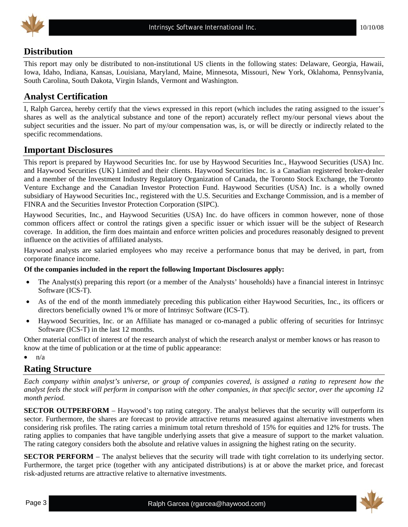

## **Distribution**

This report may only be distributed to non-institutional US clients in the following states: Delaware, Georgia, Hawaii, Iowa, Idaho, Indiana, Kansas, Louisiana, Maryland, Maine, Minnesota, Missouri, New York, Oklahoma, Pennsylvania, South Carolina, South Dakota, Virgin Islands, Vermont and Washington.

## **Analyst Certification**

I, Ralph Garcea, hereby certify that the views expressed in this report (which includes the rating assigned to the issuer's shares as well as the analytical substance and tone of the report) accurately reflect my/our personal views about the subject securities and the issuer. No part of my/our compensation was, is, or will be directly or indirectly related to the specific recommendations.

## **Important Disclosures**

This report is prepared by Haywood Securities Inc. for use by Haywood Securities Inc., Haywood Securities (USA) Inc. and Haywood Securities (UK) Limited and their clients. Haywood Securities Inc. is a Canadian registered broker-dealer and a member of the Investment Industry Regulatory Organization of Canada, the Toronto Stock Exchange, the Toronto Venture Exchange and the Canadian Investor Protection Fund. Haywood Securities (USA) Inc. is a wholly owned subsidiary of Haywood Securities Inc., registered with the U.S. Securities and Exchange Commission, and is a member of FINRA and the Securities Investor Protection Corporation (SIPC).

Haywood Securities, Inc., and Haywood Securities (USA) Inc. do have officers in common however, none of those common officers affect or control the ratings given a specific issuer or which issuer will be the subject of Research coverage. In addition, the firm does maintain and enforce written policies and procedures reasonably designed to prevent influence on the activities of affiliated analysts.

Haywood analysts are salaried employees who may receive a performance bonus that may be derived, in part, from corporate finance income.

#### **Of the companies included in the report the following Important Disclosures apply:**

- The Analyst(s) preparing this report (or a member of the Analysts' households) have a financial interest in Intrinsyc Software (ICS-T).
- As of the end of the month immediately preceding this publication either Haywood Securities, Inc., its officers or directors beneficially owned 1% or more of Intrinsyc Software (ICS-T).
- Haywood Securities, Inc. or an Affiliate has managed or co-managed a public offering of securities for Intrinsyc Software (ICS-T) in the last 12 months.

Other material conflict of interest of the research analyst of which the research analyst or member knows or has reason to know at the time of publication or at the time of public appearance:

 $\bullet$   $\frac{n}{a}$ 

## **Rating Structure**

*Each company within analyst's universe, or group of companies covered, is assigned a rating to represent how the analyst feels the stock will perform in comparison with the other companies, in that specific sector, over the upcoming 12 month period.* 

**SECTOR OUTPERFORM** – Haywood's top rating category. The analyst believes that the security will outperform its sector. Furthermore, the shares are forecast to provide attractive returns measured against alternative investments when considering risk profiles. The rating carries a minimum total return threshold of 15% for equities and 12% for trusts. The rating applies to companies that have tangible underlying assets that give a measure of support to the market valuation. The rating category considers both the absolute and relative values in assigning the highest rating on the security.

**SECTOR PERFORM** – The analyst believes that the security will trade with tight correlation to its underlying sector. Furthermore, the target price (together with any anticipated distributions) is at or above the market price, and forecast risk-adjusted returns are attractive relative to alternative investments.

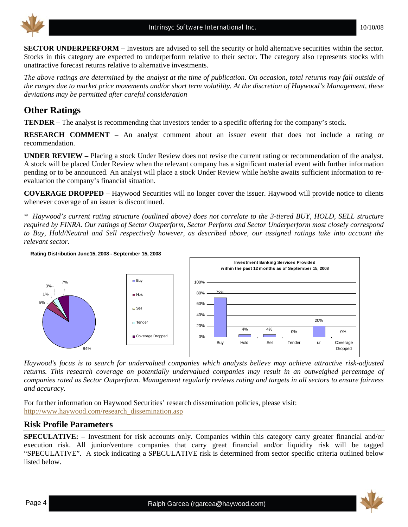

**SECTOR UNDERPERFORM** – Investors are advised to sell the security or hold alternative securities within the sector. Stocks in this category are expected to underperform relative to their sector. The category also represents stocks with unattractive forecast returns relative to alternative investments.

*The above ratings are determined by the analyst at the time of publication. On occasion, total returns may fall outside of the ranges due to market price movements and/or short term volatility. At the discretion of Haywood's Management, these deviations may be permitted after careful consideration* 

## **Other Ratings**

**TENDER –** The analyst is recommending that investors tender to a specific offering for the company's stock.

**RESEARCH COMMENT** – An analyst comment about an issuer event that does not include a rating or recommendation.

**UNDER REVIEW –** Placing a stock Under Review does not revise the current rating or recommendation of the analyst. A stock will be placed Under Review when the relevant company has a significant material event with further information pending or to be announced. An analyst will place a stock Under Review while he/she awaits sufficient information to reevaluation the company's financial situation.

**COVERAGE DROPPED** – Haywood Securities will no longer cover the issuer. Haywood will provide notice to clients whenever coverage of an issuer is discontinued.

*\* Haywood's current rating structure (outlined above) does not correlate to the 3-tiered BUY, HOLD, SELL structure required by FINRA. Our ratings of Sector Outperform, Sector Perform and Sector Underperform most closely correspond to Buy, Hold/Neutral and Sell respectively however, as described above, our assigned ratings take into account the relevant sector.* 



*Haywood's focus is to search for undervalued companies which analysts believe may achieve attractive risk-adjusted returns. This research coverage on potentially undervalued companies may result in an outweighed percentage of companies rated as Sector Outperform. Management regularly reviews rating and targets in all sectors to ensure fairness and accuracy.* 

For further information on Haywood Securities' research dissemination policies, please visit: [http://www.haywood.com/research\\_dissemination.asp](http://www.haywood.com/research_dissemination.asp) 

## **Risk Profile Parameters**

**SPECULATIVE:** – Investment for risk accounts only. Companies within this category carry greater financial and/or execution risk. All junior/venture companies that carry great financial and/or liquidity risk will be tagged "SPECULATIVE". A stock indicating a SPECULATIVE risk is determined from sector specific criteria outlined below listed below.